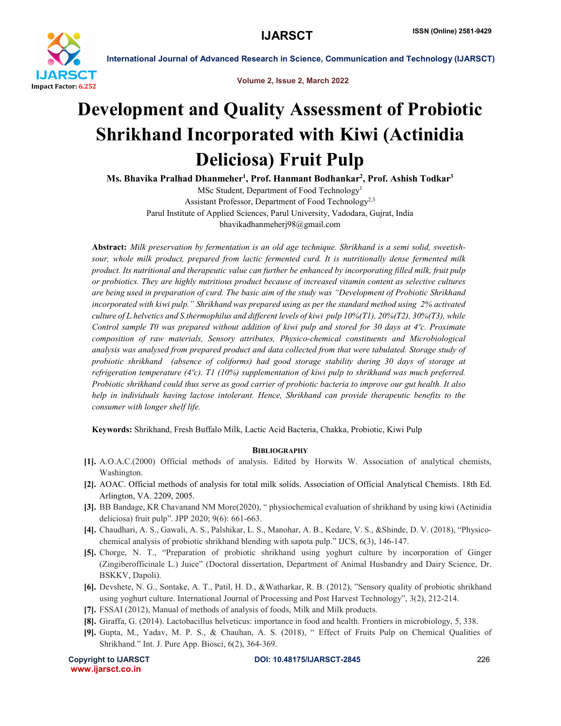

International Journal of Advanced Research in Science, Communication and Technology (IJARSCT)

Volume 2, Issue 2, March 2022

## Development and Quality Assessment of Probiotic Shrikhand Incorporated with Kiwi (Actinidia Deliciosa) Fruit Pulp

Ms. Bhavika Pralhad Dhanmeher<sup>1</sup>, Prof. Hanmant Bodhankar<sup>2</sup>, Prof. Ashish Todkar<sup>3</sup>

MSc Student, Department of Food Technology1 Assistant Professor, Department of Food Technology<sup>2,3</sup> Parul Institute of Applied Sciences, Parul University, Vadodara, Gujrat, India bhavikadhanmeherj98@gmail.com

Abstract: *Milk preservation by fermentation is an old age technique. Shrikhand is a semi solid, sweetishsour, whole milk product, prepared from lactic fermented curd. It is nutritionally dense fermented milk product. Its nutritional and therapeutic value can further be enhanced by incorporating filled milk, fruit pulp or probiotics. They are highly nutritious product because of increased vitamin content as selective cultures are being used in preparation of curd. The basic aim of the study was "Development of Probiotic Shrikhand incorporated with kiwi pulp." Shrikhand was prepared using as per the standard method using 2% activated culture of L.helvetics and S.thermophilus and different levels of kiwi pulp 10%(T1), 20%(T2), 30%(T3), while Control sample T0 was prepared without addition of kiwi pulp and stored for 30 days at 4ºc. Proximate composition of raw materials, Sensory attributes, Physico-chemical constituents and Microbiological analysis was analysed from prepared product and data collected from that were tabulated. Storage study of probiotic shrikhand (absence of coliforms) had good storage stability during 30 days of storage at refrigeration temperature (4ºc). T1 (10%) supplementation of kiwi pulp to shrikhand was much preferred. Probiotic shrikhand could thus serve as good carrier of probiotic bacteria to improve our gut health. It also help in individuals having lactose intolerant. Hence, Shrikhand can provide therapeutic benefits to the consumer with longer shelf life.*

Keywords: Shrikhand, Fresh Buffalo Milk, Lactic Acid Bacteria, Chakka, Probiotic, Kiwi Pulp

## **BIBLIOGRAPHY**

- [1]. A.O.A.C.(2000) Official methods of analysis. Edited by Horwits W. Association of analytical chemists, Washington.
- [2]. AOAC. Official methods of analysis for total milk solids. Association of Official Analytical Chemists. 18th Ed. Arlington, VA. 2209, 2005.
- [3]. BB Bandage, KR Chavanand NM More(2020), " physiochemical evaluation of shrikhand by using kiwi (Actinidia deliciosa) fruit pulp". JPP 2020; 9(6): 661-663.
- [4]. Chaudhari, A. S., Gawali, A. S., Palshikar, L. S., Manohar, A. B., Kedare, V. S., &Shinde, D. V. (2018), "Physicochemical analysis of probiotic shrikhand blending with sapota pulp." IJCS, 6(3), 146-147.
- [5]. Chorge, N. T., "Preparation of probiotic shrikhand using yoghurt culture by incorporation of Ginger (Zingiberofficinale L.) Juice" (Doctoral dissertation, Department of Animal Husbandry and Dairy Science, Dr. BSKKV, Dapoli).
- [6]. Devshete, N. G., Sontake, A. T., Patil, H. D., &Watharkar, R. B. (2012), "Sensory quality of probiotic shrikhand using yoghurt culture. International Journal of Processing and Post Harvest Technology", 3(2), 212-214.
- [7]. FSSAI (2012), Manual of methods of analysis of foods, Milk and Milk products.
- [8]. Giraffa, G. (2014). Lactobacillus helveticus: importance in food and health. Frontiers in microbiology, 5, 338.
- [9]. Gupta, M., Yadav, M. P. S., & Chauhan, A. S. (2018), " Effect of Fruits Pulp on Chemical Qualities of Shrikhand." Int. J. Pure App. Biosci, 6(2), 364-369.

www.ijarsct.co.in